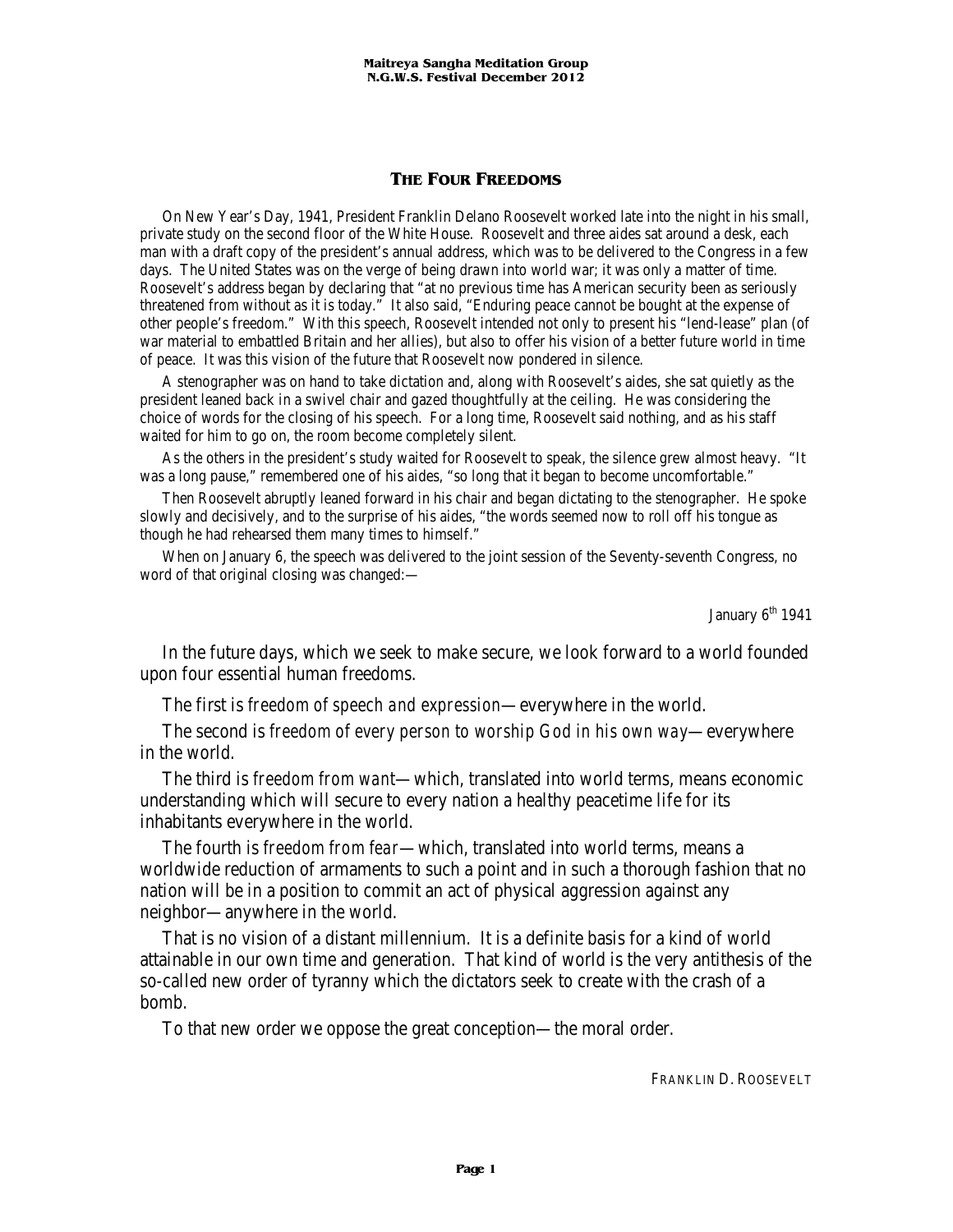#### THE FOUR FREEDOMS

On New Year's Day, 1941, President Franklin Delano Roosevelt worked late into the night in his small, private study on the second floor of the White House. Roosevelt and three aides sat around a desk, each man with a draft copy of the president's annual address, which was to be delivered to the Congress in a few days. The United States was on the verge of being drawn into world war; it was only a matter of time. Roosevelt's address began by declaring that "at no previous time has American security been as seriously threatened from without as it is today." It also said, "Enduring peace cannot be bought at the expense of other people's freedom." With this speech, Roosevelt intended not only to present his "lend-lease" plan (of war material to embattled Britain and her allies), but also to offer his vision of a better future world in time of peace. It was this vision of the future that Roosevelt now pondered in silence.

A stenographer was on hand to take dictation and, along with Roosevelt's aides, she sat quietly as the president leaned back in a swivel chair and gazed thoughtfully at the ceiling. He was considering the choice of words for the closing of his speech. For a long time, Roosevelt said nothing, and as his staff waited for him to go on, the room become completely silent.

As the others in the president's study waited for Roosevelt to speak, the silence grew almost heavy. "It was a long pause," remembered one of his aides, "so long that it began to become uncomfortable."

Then Roosevelt abruptly leaned forward in his chair and began dictating to the stenographer. He spoke slowly and decisively, and to the surprise of his aides, "the words seemed now to roll off his tongue as though he had rehearsed them many times to himself."

When on January 6, the speech was delivered to the joint session of the Seventy-seventh Congress, no word of that original closing was changed:—

January  $6<sup>th</sup>$  1941

In the future days, which we seek to make secure, we look forward to a world founded upon four essential human freedoms.

The first is *freedom of speech and expression*—everywhere in the world.

The second is *freedom of every person to worship God in his own way*—everywhere in the world.

The third is *freedom from want*—which, translated into world terms, means economic understanding which will secure to every nation a healthy peacetime life for its inhabitants everywhere in the world.

The fourth is *freedom from fear*—which, translated into world terms, means a worldwide reduction of armaments to such a point and in such a thorough fashion that no nation will be in a position to commit an act of physical aggression against any neighbor—anywhere in the world.

That is no vision of a distant millennium. It is a definite basis for a kind of world attainable in our own time and generation. That kind of world is the very antithesis of the so-called new order of tyranny which the dictators seek to create with the crash of a bomb.

To that new order we oppose the great conception—the moral order.

FRANKLIN D. ROOSEVELT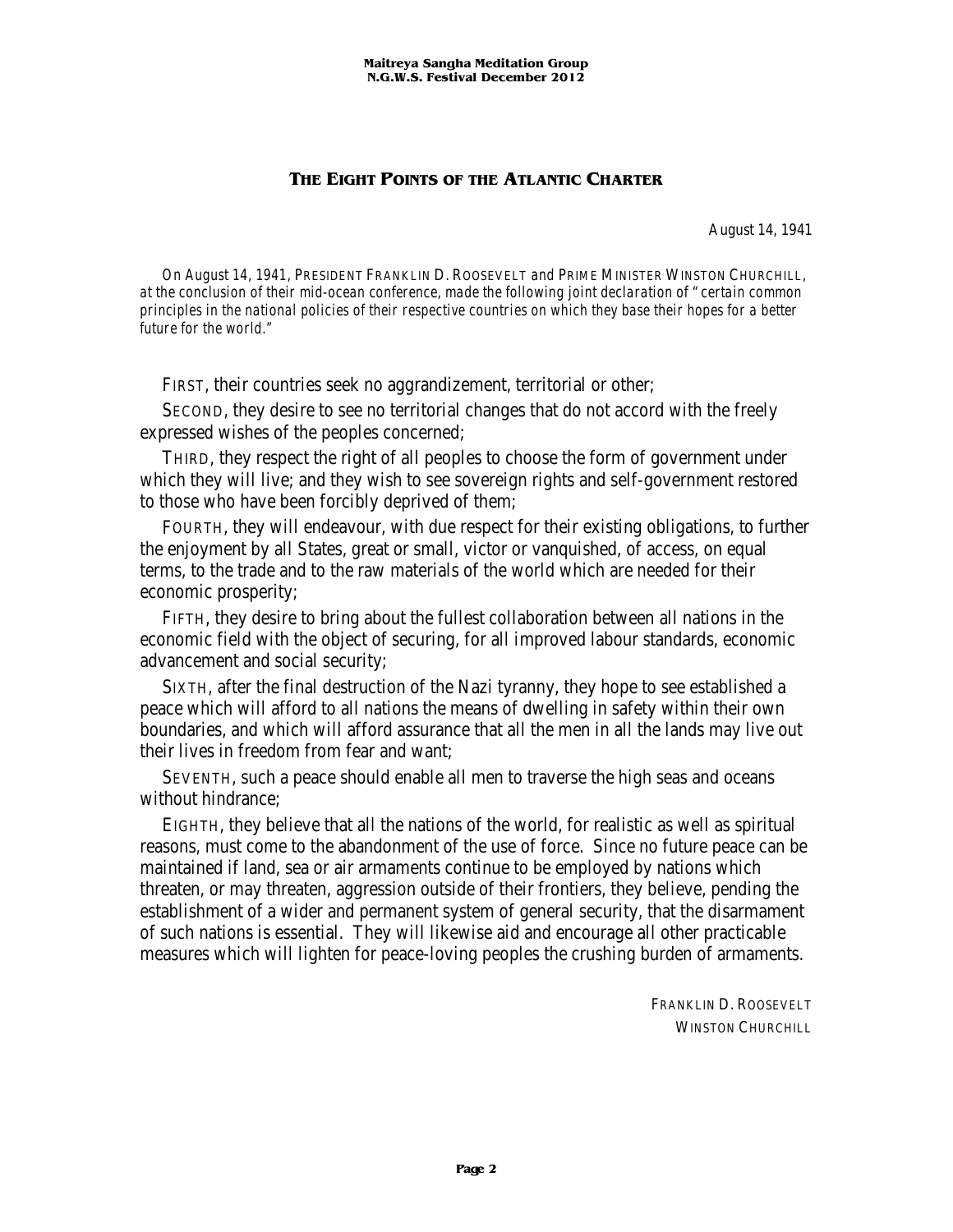# THE EIGHT POINTS OF THE ATLANTIC CHARTER

August 14, 1941

*On August 14, 1941,* PRESIDENT FRANKLIN D. ROOSEVELT *and* PRIME MINISTER WINSTON CHURCHILL*, at the conclusion of their mid-ocean conference, made the following joint declaration of "certain common principles in the national policies of their respective countries on which they base their hopes for a better future for the world."*

FIRST, their countries seek no aggrandizement, territorial or other;

SECOND, they desire to see no territorial changes that do not accord with the freely expressed wishes of the peoples concerned;

THIRD, they respect the right of all peoples to choose the form of government under which they will live; and they wish to see sovereign rights and self-government restored to those who have been forcibly deprived of them;

FOURTH, they will endeavour, with due respect for their existing obligations, to further the enjoyment by all States, great or small, victor or vanquished, of access, on equal terms, to the trade and to the raw materials of the world which are needed for their economic prosperity;

FIFTH, they desire to bring about the fullest collaboration between all nations in the economic field with the object of securing, for all improved labour standards, economic advancement and social security;

SIXTH, after the final destruction of the Nazi tyranny, they hope to see established a peace which will afford to all nations the means of dwelling in safety within their own boundaries, and which will afford assurance that all the men in all the lands may live out their lives in freedom from fear and want;

SEVENTH, such a peace should enable all men to traverse the high seas and oceans without hindrance;

EIGHTH, they believe that all the nations of the world, for realistic as well as spiritual reasons, must come to the abandonment of the use of force. Since no future peace can be maintained if land, sea or air armaments continue to be employed by nations which threaten, or may threaten, aggression outside of their frontiers, they believe, pending the establishment of a wider and permanent system of general security, that the disarmament of such nations is essential. They will likewise aid and encourage all other practicable measures which will lighten for peace-loving peoples the crushing burden of armaments.

> FRANKLIN D. ROOSEVELT WINSTON CHURCHILL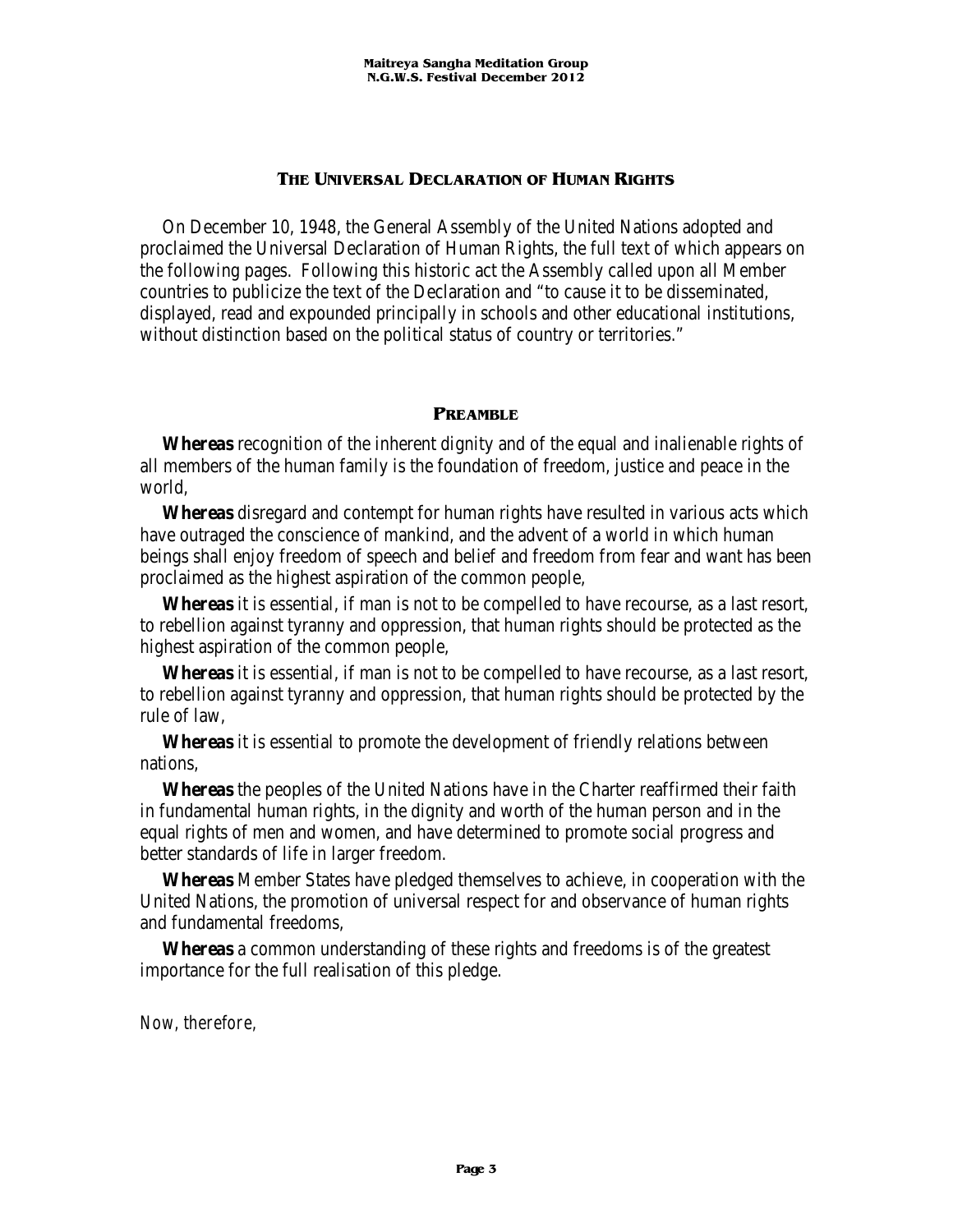## THE UNIVERSAL DECLARATION OF HUMAN RIGHTS

On December 10, 1948, the General Assembly of the United Nations adopted and proclaimed the Universal Declaration of Human Rights, the full text of which appears on the following pages. Following this historic act the Assembly called upon all Member countries to publicize the text of the Declaration and "to cause it to be disseminated, displayed, read and expounded principally in schools and other educational institutions, without distinction based on the political status of country or territories."

# PREAMBLE

**Whereas** recognition of the inherent dignity and of the equal and inalienable rights of all members of the human family is the foundation of freedom, justice and peace in the world,

**Whereas** disregard and contempt for human rights have resulted in various acts which have outraged the conscience of mankind, and the advent of a world in which human beings shall enjoy freedom of speech and belief and freedom from fear and want has been proclaimed as the highest aspiration of the common people,

**Whereas** it is essential, if man is not to be compelled to have recourse, as a last resort, to rebellion against tyranny and oppression, that human rights should be protected as the highest aspiration of the common people,

**Whereas** it is essential, if man is not to be compelled to have recourse, as a last resort, to rebellion against tyranny and oppression, that human rights should be protected by the rule of law,

**Whereas** it is essential to promote the development of friendly relations between nations,

**Whereas** the peoples of the United Nations have in the Charter reaffirmed their faith in fundamental human rights, in the dignity and worth of the human person and in the equal rights of men and women, and have determined to promote social progress and better standards of life in larger freedom.

**Whereas** Member States have pledged themselves to achieve, in cooperation with the United Nations, the promotion of universal respect for and observance of human rights and fundamental freedoms,

**Whereas** a common understanding of these rights and freedoms is of the greatest importance for the full realisation of this pledge.

*Now, therefore,*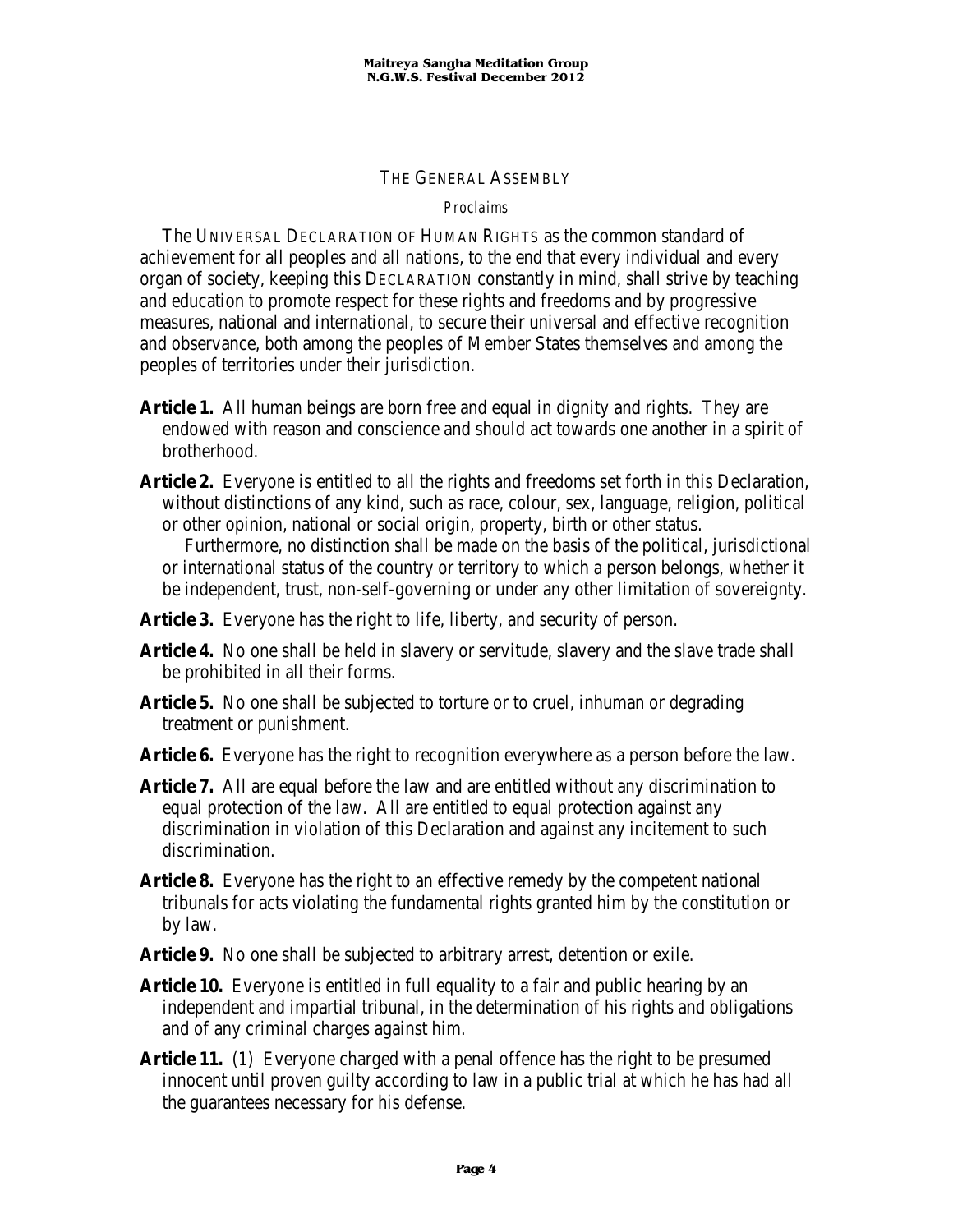## THE GENERAL ASSEMBLY

### *Proclaims*

The UNIVERSAL DECLARATION OF HUMAN RIGHTS as the common standard of achievement for all peoples and all nations, to the end that every individual and every organ of society, keeping this DECLARATION constantly in mind, shall strive by teaching and education to promote respect for these rights and freedoms and by progressive measures, national and international, to secure their universal and effective recognition and observance, both among the peoples of Member States themselves and among the peoples of territories under their jurisdiction.

- **Article 1.** All human beings are born free and equal in dignity and rights. They are endowed with reason and conscience and should act towards one another in a spirit of brotherhood.
- **Article 2.** Everyone is entitled to all the rights and freedoms set forth in this Declaration, without distinctions of any kind, such as race, colour, sex, language, religion, political or other opinion, national or social origin, property, birth or other status.

Furthermore, no distinction shall be made on the basis of the political, jurisdictional or international status of the country or territory to which a person belongs, whether it be independent, trust, non-self-governing or under any other limitation of sovereignty.

- **Article 3.** Everyone has the right to life, liberty, and security of person.
- **Article 4.** No one shall be held in slavery or servitude, slavery and the slave trade shall be prohibited in all their forms.
- **Article 5.** No one shall be subjected to torture or to cruel, inhuman or degrading treatment or punishment.
- **Article 6.** Everyone has the right to recognition everywhere as a person before the law.
- **Article 7.** All are equal before the law and are entitled without any discrimination to equal protection of the law. All are entitled to equal protection against any discrimination in violation of this Declaration and against any incitement to such discrimination.
- **Article 8.** Everyone has the right to an effective remedy by the competent national tribunals for acts violating the fundamental rights granted him by the constitution or by law.
- **Article 9.** No one shall be subjected to arbitrary arrest, detention or exile.
- **Article 10.** Everyone is entitled in full equality to a fair and public hearing by an independent and impartial tribunal, in the determination of his rights and obligations and of any criminal charges against him.
- **Article 11.** (1) Everyone charged with a penal offence has the right to be presumed innocent until proven guilty according to law in a public trial at which he has had all the guarantees necessary for his defense.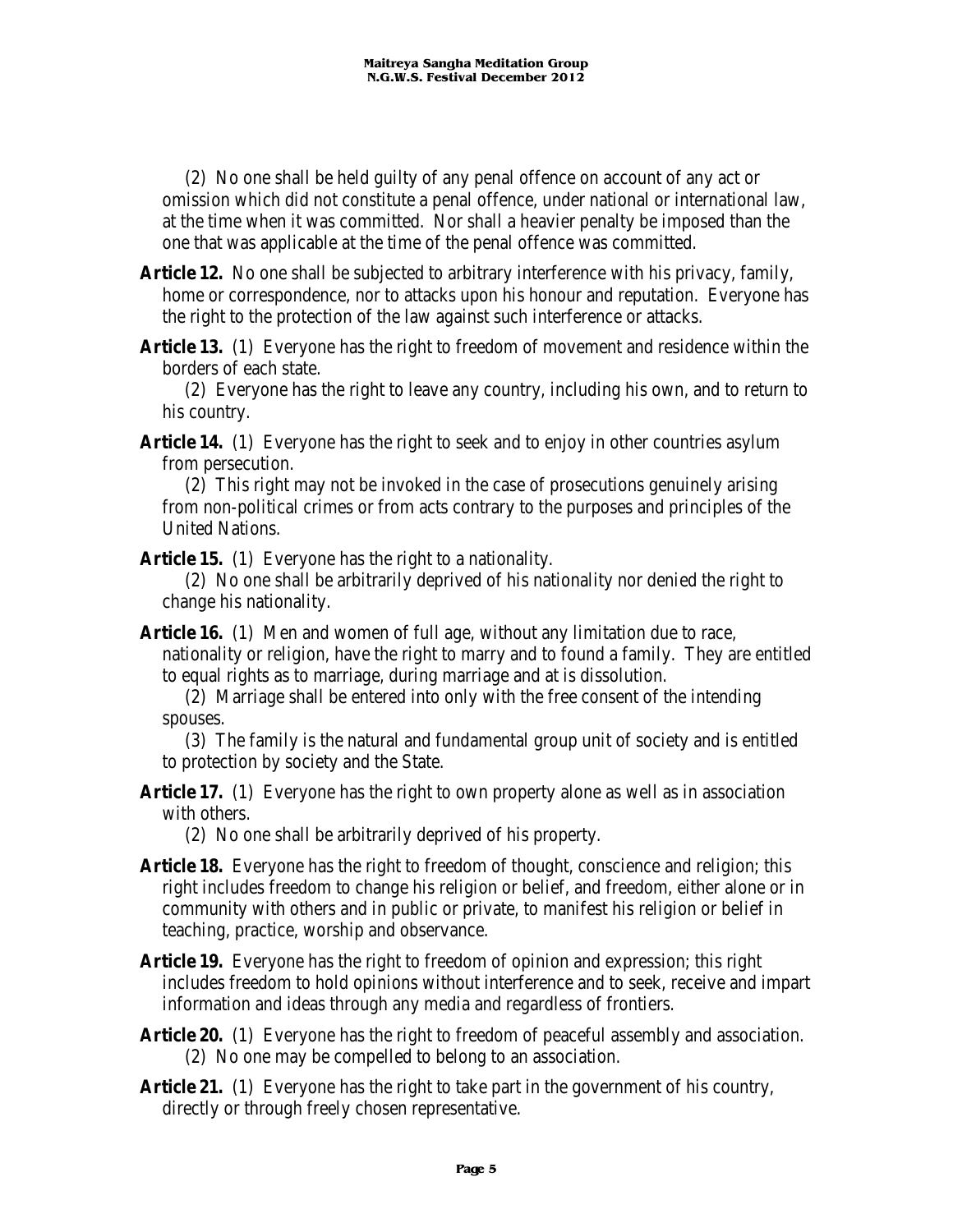(2) No one shall be held guilty of any penal offence on account of any act or omission which did not constitute a penal offence, under national or international law, at the time when it was committed. Nor shall a heavier penalty be imposed than the one that was applicable at the time of the penal offence was committed.

- **Article 12.** No one shall be subjected to arbitrary interference with his privacy, family, home or correspondence, nor to attacks upon his honour and reputation. Everyone has the right to the protection of the law against such interference or attacks.
- **Article 13.** (1) Everyone has the right to freedom of movement and residence within the borders of each state.

(2) Everyone has the right to leave any country, including his own, and to return to his country.

**Article 14.** (1) Everyone has the right to seek and to enjoy in other countries asylum from persecution.

(2) This right may not be invoked in the case of prosecutions genuinely arising from non-political crimes or from acts contrary to the purposes and principles of the United Nations.

**Article 15.** (1) Everyone has the right to a nationality.

(2) No one shall be arbitrarily deprived of his nationality nor denied the right to change his nationality.

**Article 16.** (1) Men and women of full age, without any limitation due to race, nationality or religion, have the right to marry and to found a family. They are entitled to equal rights as to marriage, during marriage and at is dissolution.

(2) Marriage shall be entered into only with the free consent of the intending spouses.

(3) The family is the natural and fundamental group unit of society and is entitled to protection by society and the State.

**Article 17.** (1) Everyone has the right to own property alone as well as in association with others.

(2) No one shall be arbitrarily deprived of his property.

- **Article 18.** Everyone has the right to freedom of thought, conscience and religion; this right includes freedom to change his religion or belief, and freedom, either alone or in community with others and in public or private, to manifest his religion or belief in teaching, practice, worship and observance.
- **Article 19.** Everyone has the right to freedom of opinion and expression; this right includes freedom to hold opinions without interference and to seek, receive and impart information and ideas through any media and regardless of frontiers.
- **Article 20.** (1) Everyone has the right to freedom of peaceful assembly and association. (2) No one may be compelled to belong to an association.
- **Article 21.** (1) Everyone has the right to take part in the government of his country, directly or through freely chosen representative.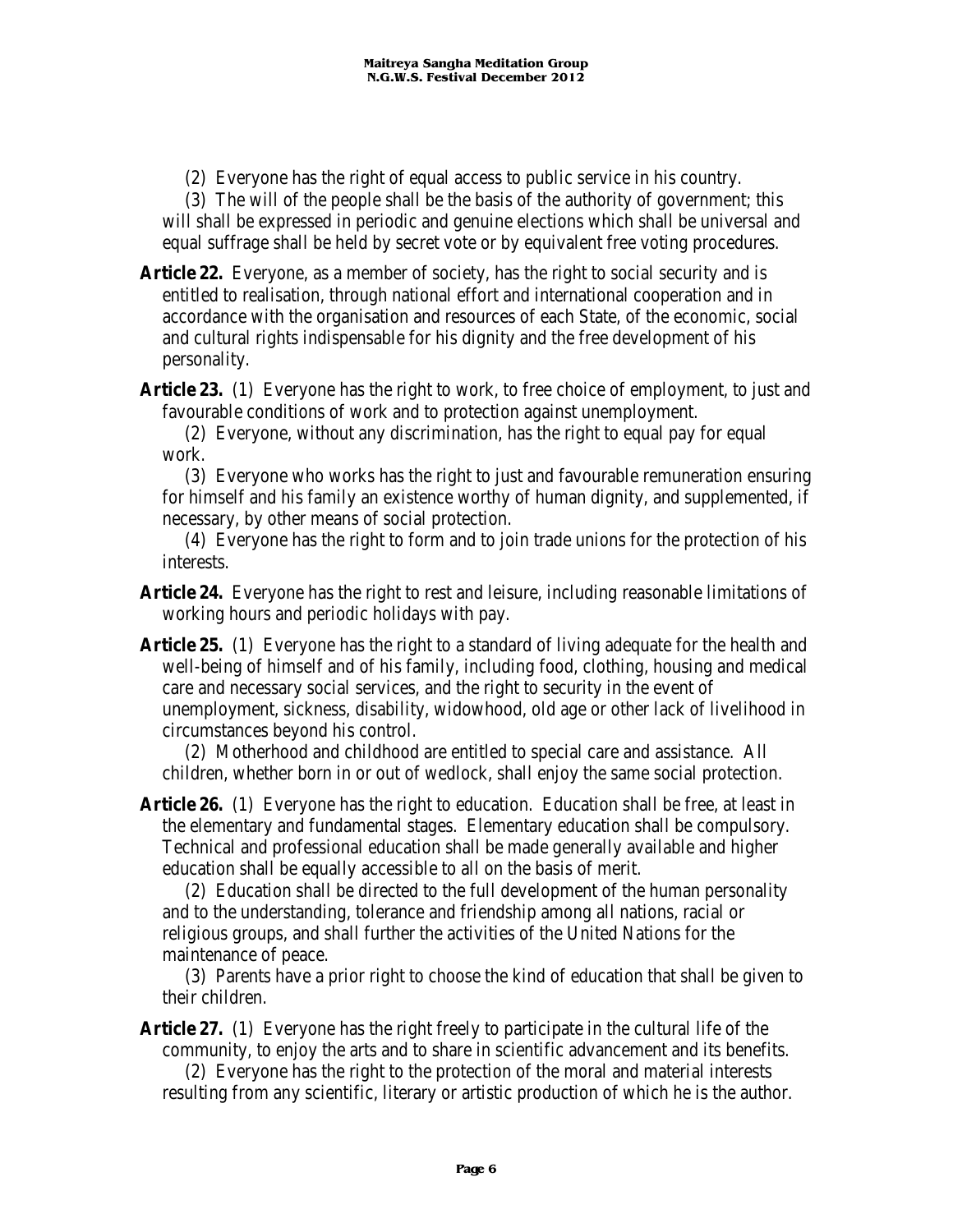(2) Everyone has the right of equal access to public service in his country.

(3) The will of the people shall be the basis of the authority of government; this will shall be expressed in periodic and genuine elections which shall be universal and equal suffrage shall be held by secret vote or by equivalent free voting procedures.

- **Article 22.** Everyone, as a member of society, has the right to social security and is entitled to realisation, through national effort and international cooperation and in accordance with the organisation and resources of each State, of the economic, social and cultural rights indispensable for his dignity and the free development of his personality.
- **Article 23.** (1) Everyone has the right to work, to free choice of employment, to just and favourable conditions of work and to protection against unemployment.

(2) Everyone, without any discrimination, has the right to equal pay for equal work.

(3) Everyone who works has the right to just and favourable remuneration ensuring for himself and his family an existence worthy of human dignity, and supplemented, if necessary, by other means of social protection.

(4) Everyone has the right to form and to join trade unions for the protection of his interests.

- **Article 24.** Everyone has the right to rest and leisure, including reasonable limitations of working hours and periodic holidays with pay.
- **Article 25.** (1) Everyone has the right to a standard of living adequate for the health and well-being of himself and of his family, including food, clothing, housing and medical care and necessary social services, and the right to security in the event of unemployment, sickness, disability, widowhood, old age or other lack of livelihood in circumstances beyond his control.

(2) Motherhood and childhood are entitled to special care and assistance. All children, whether born in or out of wedlock, shall enjoy the same social protection.

**Article 26.** (1) Everyone has the right to education. Education shall be free, at least in the elementary and fundamental stages. Elementary education shall be compulsory. Technical and professional education shall be made generally available and higher education shall be equally accessible to all on the basis of merit.

(2) Education shall be directed to the full development of the human personality and to the understanding, tolerance and friendship among all nations, racial or religious groups, and shall further the activities of the United Nations for the maintenance of peace.

(3) Parents have a prior right to choose the kind of education that shall be given to their children.

**Article 27.** (1) Everyone has the right freely to participate in the cultural life of the community, to enjoy the arts and to share in scientific advancement and its benefits.

(2) Everyone has the right to the protection of the moral and material interests resulting from any scientific, literary or artistic production of which he is the author.